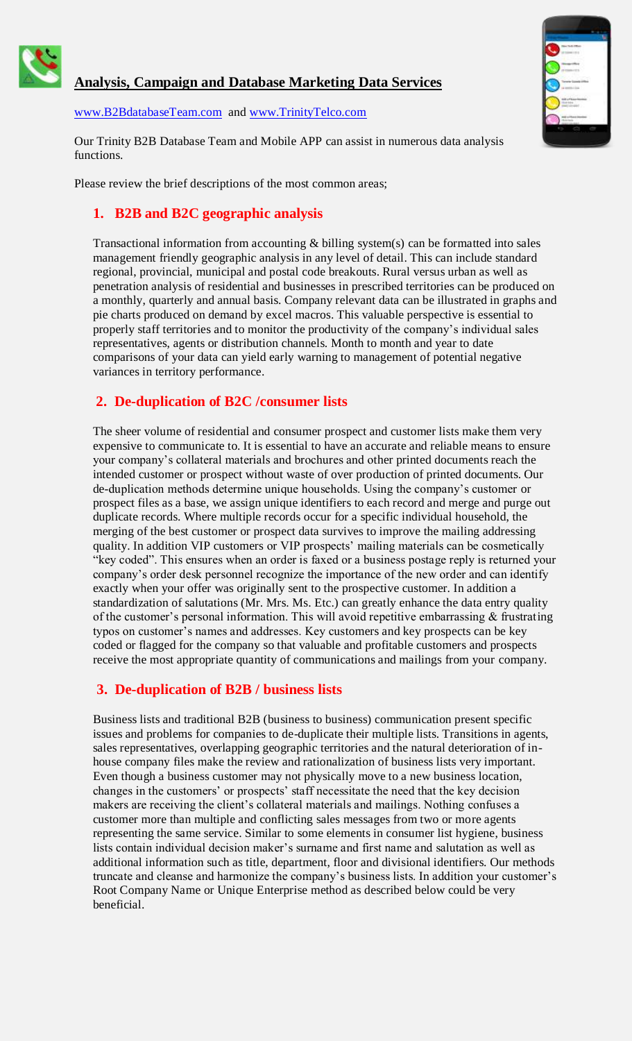

# **Analysis, Campaign and Database Marketing Data Services**

[www.B2BdatabaseTeam.com](http://www.b2bdatabaseteam.com/) and [www.TrinityTelco.com](http://www.trinitytelco.com/)

Our Trinity B2B Database Team and Mobile APP can assist in numerous data analysis functions.

Please review the brief descriptions of the most common areas;

### **1. B2B and B2C geographic analysis**

Transactional information from accounting  $&$  billing system(s) can be formatted into sales management friendly geographic analysis in any level of detail. This can include standard regional, provincial, municipal and postal code breakouts. Rural versus urban as well as penetration analysis of residential and businesses in prescribed territories can be produced on a monthly, quarterly and annual basis. Company relevant data can be illustrated in graphs and pie charts produced on demand by excel macros. This valuable perspective is essential to properly staff territories and to monitor the productivity of the company's individual sales representatives, agents or distribution channels. Month to month and year to date comparisons of your data can yield early warning to management of potential negative variances in territory performance.

# **2. De-duplication of B2C /consumer lists**

The sheer volume of residential and consumer prospect and customer lists make them very expensive to communicate to. It is essential to have an accurate and reliable means to ensure your company's collateral materials and brochures and other printed documents reach the intended customer or prospect without waste of over production of printed documents. Our de-duplication methods determine unique households. Using the company's customer or prospect files as a base, we assign unique identifiers to each record and merge and purge out duplicate records. Where multiple records occur for a specific individual household, the merging of the best customer or prospect data survives to improve the mailing addressing quality. In addition VIP customers or VIP prospects' mailing materials can be cosmetically "key coded". This ensures when an order is faxed or a business postage reply is returned your company's order desk personnel recognize the importance of the new order and can identify exactly when your offer was originally sent to the prospective customer. In addition a standardization of salutations (Mr. Mrs. Ms. Etc.) can greatly enhance the data entry quality of the customer's personal information. This will avoid repetitive embarrassing & frustrating typos on customer's names and addresses. Key customers and key prospects can be key coded or flagged for the company so that valuable and profitable customers and prospects receive the most appropriate quantity of communications and mailings from your company.

### **3. De-duplication of B2B / business lists**

Business lists and traditional B2B (business to business) communication present specific issues and problems for companies to de-duplicate their multiple lists. Transitions in agents, sales representatives, overlapping geographic territories and the natural deterioration of inhouse company files make the review and rationalization of business lists very important. Even though a business customer may not physically move to a new business location, changes in the customers' or prospects' staff necessitate the need that the key decision makers are receiving the client's collateral materials and mailings. Nothing confuses a customer more than multiple and conflicting sales messages from two or more agents representing the same service. Similar to some elements in consumer list hygiene, business lists contain individual decision maker's surname and first name and salutation as well as additional information such as title, department, floor and divisional identifiers. Our methods truncate and cleanse and harmonize the company's business lists. In addition your customer's Root Company Name or Unique Enterprise method as described below could be very beneficial.

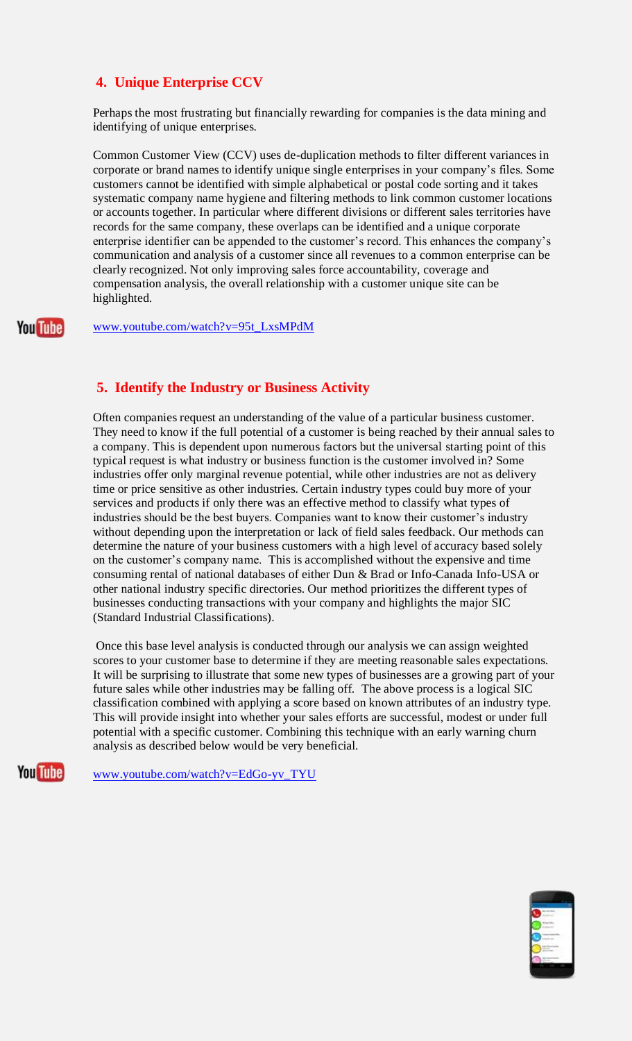# **4. Unique Enterprise CCV**

Perhaps the most frustrating but financially rewarding for companies is the data mining and identifying of unique enterprises.

Common Customer View (CCV) uses de-duplication methods to filter different variances in corporate or brand names to identify unique single enterprises in your company's files. Some customers cannot be identified with simple alphabetical or postal code sorting and it takes systematic company name hygiene and filtering methods to link common customer locations or accounts together. In particular where different divisions or different sales territories have records for the same company, these overlaps can be identified and a unique corporate enterprise identifier can be appended to the customer's record. This enhances the company's communication and analysis of a customer since all revenues to a common enterprise can be clearly recognized. Not only improving sales force accountability, coverage and compensation analysis, the overall relationship with a customer unique site can be highlighted.

**You Tube** 

[www.youtube.com/watch?v=95t\\_LxsMPdM](http://www.youtube.com/watch?v=95t_LxsMPdM)

# **5. Identify the Industry or Business Activity**

Often companies request an understanding of the value of a particular business customer. They need to know if the full potential of a customer is being reached by their annual sales to a company. This is dependent upon numerous factors but the universal starting point of this typical request is what industry or business function is the customer involved in? Some industries offer only marginal revenue potential, while other industries are not as delivery time or price sensitive as other industries. Certain industry types could buy more of your services and products if only there was an effective method to classify what types of industries should be the best buyers. Companies want to know their customer's industry without depending upon the interpretation or lack of field sales feedback. Our methods can determine the nature of your business customers with a high level of accuracy based solely on the customer's company name. This is accomplished without the expensive and time consuming rental of national databases of either Dun & Brad or Info-Canada Info-USA or other national industry specific directories. Our method prioritizes the different types of businesses conducting transactions with your company and highlights the major SIC (Standard Industrial Classifications).

Once this base level analysis is conducted through our analysis we can assign weighted scores to your customer base to determine if they are meeting reasonable sales expectations. It will be surprising to illustrate that some new types of businesses are a growing part of your future sales while other industries may be falling off. The above process is a logical SIC classification combined with applying a score based on known attributes of an industry type. This will provide insight into whether your sales efforts are successful, modest or under full potential with a specific customer. Combining this technique with an early warning churn analysis as described below would be very beneficial.

**You Tube** 

[www.youtube.com/watch?v=EdGo-yv\\_TYU](http://www.youtube.com/watch?v=EdGo-yv_TYU)

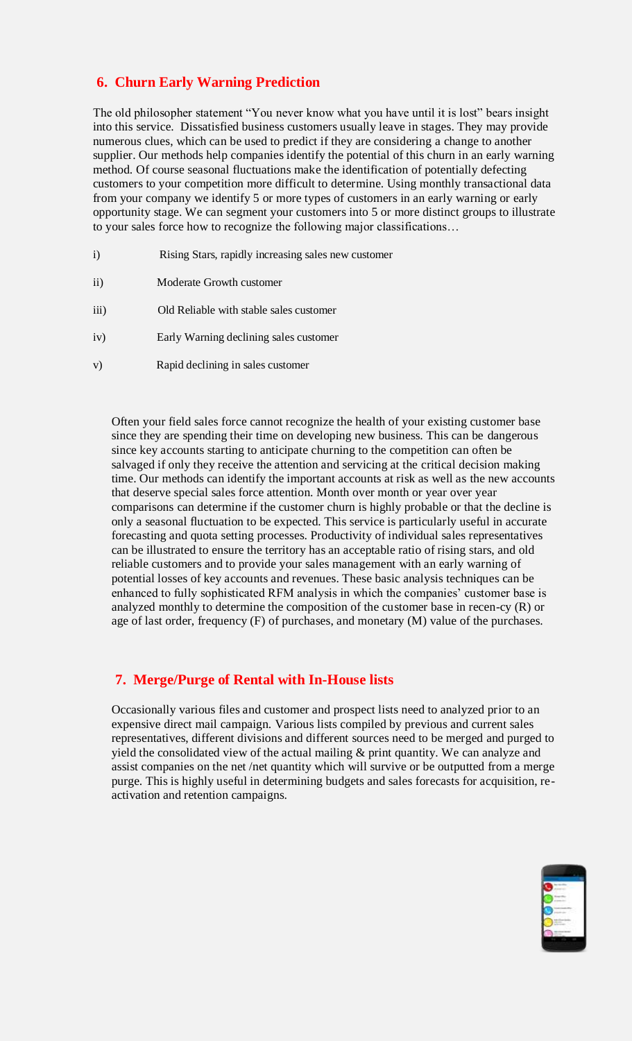# **6. Churn Early Warning Prediction**

The old philosopher statement "You never know what you have until it is lost" bears insight into this service. Dissatisfied business customers usually leave in stages. They may provide numerous clues, which can be used to predict if they are considering a change to another supplier. Our methods help companies identify the potential of this churn in an early warning method. Of course seasonal fluctuations make the identification of potentially defecting customers to your competition more difficult to determine. Using monthly transactional data from your company we identify 5 or more types of customers in an early warning or early opportunity stage. We can segment your customers into 5 or more distinct groups to illustrate to your sales force how to recognize the following major classifications…

- i) Rising Stars, rapidly increasing sales new customer
- ii) Moderate Growth customer
- iii) Old Reliable with stable sales customer
- iv) Early Warning declining sales customer
- v) Rapid declining in sales customer

Often your field sales force cannot recognize the health of your existing customer base since they are spending their time on developing new business. This can be dangerous since key accounts starting to anticipate churning to the competition can often be salvaged if only they receive the attention and servicing at the critical decision making time. Our methods can identify the important accounts at risk as well as the new accounts that deserve special sales force attention. Month over month or year over year comparisons can determine if the customer churn is highly probable or that the decline is only a seasonal fluctuation to be expected. This service is particularly useful in accurate forecasting and quota setting processes. Productivity of individual sales representatives can be illustrated to ensure the territory has an acceptable ratio of rising stars, and old reliable customers and to provide your sales management with an early warning of potential losses of key accounts and revenues. These basic analysis techniques can be enhanced to fully sophisticated RFM analysis in which the companies' customer base is analyzed monthly to determine the composition of the customer base in recen-cy (R) or age of last order, frequency (F) of purchases, and monetary (M) value of the purchases.

### **7. Merge/Purge of Rental with In-House lists**

Occasionally various files and customer and prospect lists need to analyzed prior to an expensive direct mail campaign. Various lists compiled by previous and current sales representatives, different divisions and different sources need to be merged and purged to yield the consolidated view of the actual mailing & print quantity. We can analyze and assist companies on the net /net quantity which will survive or be outputted from a merge purge. This is highly useful in determining budgets and sales forecasts for acquisition, reactivation and retention campaigns.

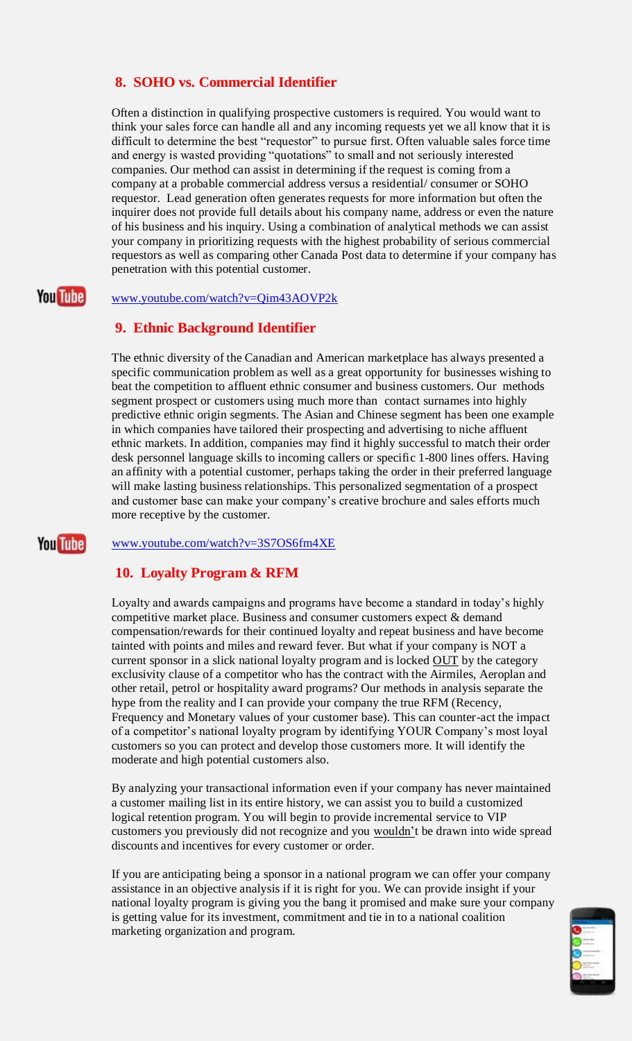# **8. SOHO vs. Commercial Identifier**

Often a distinction in qualifying prospective customers is required. You would want to think your sales force can handle all and any incoming requests yet we all know that it is difficult to determine the best "requestor" to pursue first. Often valuable sales force time and energy is wasted providing "quotations" to small and not seriously interested companies. Our method can assist in determining if the request is coming from a company at a probable commercial address versus a residential/ consumer or SOHO requestor. Lead generation often generates requests for more information but often the inquirer does not provide full details about his company name, address or even the nature of his business and his inquiry. Using a combination of analytical methods we can assist your company in prioritizing requests with the highest probability of serious commercial requestors as well as comparing other Canada Post data to determine if your company has penetration with this potential customer.

#### **You Tube** [www.youtube.com/watch?v=Qim43AOVP2k](http://www.youtube.com/watch?v=Qim43AOVP2k)

### **9. Ethnic Background Identifier**

The ethnic diversity of the Canadian and American marketplace has always presented a specific communication problem as well as a great opportunity for businesses wishing to beat the competition to affluent ethnic consumer and business customers. Our methods segment prospect or customers using much more than contact surnames into highly predictive ethnic origin segments. The Asian and Chinese segment has been one example in which companies have tailored their prospecting and advertising to niche affluent ethnic markets. In addition, companies may find it highly successful to match their order desk personnel language skills to incoming callers or specific 1-800 lines offers. Having an affinity with a potential customer, perhaps taking the order in their preferred language will make lasting business relationships. This personalized segmentation of a prospect and customer base can make your company's creative brochure and sales efforts much more receptive by the customer.

### [www.youtube.com/watch?v=3S7OS6fm4XE](https://www.youtube.com/watch?v=3S7OS6fm4XE)

### **10. Loyalty Program & RFM**

**You Tube** 

Loyalty and awards campaigns and programs have become a standard in today's highly competitive market place. Business and consumer customers expect & demand compensation/rewards for their continued loyalty and repeat business and have become tainted with points and miles and reward fever. But what if your company is NOT a current sponsor in a slick national loyalty program and is locked OUT by the category exclusivity clause of a competitor who has the contract with the Airmiles, Aeroplan and other retail, petrol or hospitality award programs? Our methods in analysis separate the hype from the reality and I can provide your company the true RFM (Recency, Frequency and Monetary values of your customer base). This can counter-act the impact of a competitor's national loyalty program by identifying YOUR Company's most loyal customers so you can protect and develop those customers more. It will identify the moderate and high potential customers also.

By analyzing your transactional information even if your company has never maintained a customer mailing list in its entire history, we can assist you to build a customized logical retention program. You will begin to provide incremental service to VIP customers you previously did not recognize and you wouldn't be drawn into wide spread discounts and incentives for every customer or order.

If you are anticipating being a sponsor in a national program we can offer your company assistance in an objective analysis if it is right for you. We can provide insight if your national loyalty program is giving you the bang it promised and make sure your company is getting value for its investment, commitment and tie in to a national coalition marketing organization and program.

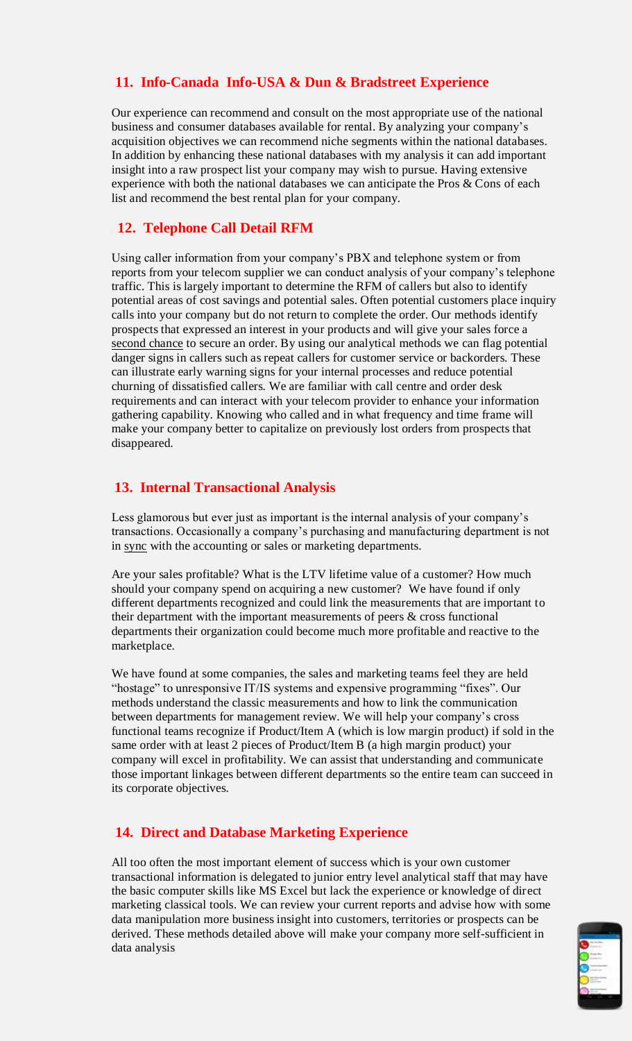# **11. Info-Canada Info-USA & Dun & Bradstreet Experience**

Our experience can recommend and consult on the most appropriate use of the national business and consumer databases available for rental. By analyzing your company's acquisition objectives we can recommend niche segments within the national databases. In addition by enhancing these national databases with my analysis it can add important insight into a raw prospect list your company may wish to pursue. Having extensive experience with both the national databases we can anticipate the Pros & Cons of each list and recommend the best rental plan for your company.

# **12. Telephone Call Detail RFM**

Using caller information from your company's PBX and telephone system or from reports from your telecom supplier we can conduct analysis of your company's telephone traffic. This is largely important to determine the RFM of callers but also to identify potential areas of cost savings and potential sales. Often potential customers place inquiry calls into your company but do not return to complete the order. Our methods identify prospects that expressed an interest in your products and will give your sales force a second chance to secure an order. By using our analytical methods we can flag potential danger signs in callers such as repeat callers for customer service or backorders. These can illustrate early warning signs for your internal processes and reduce potential churning of dissatisfied callers. We are familiar with call centre and order desk requirements and can interact with your telecom provider to enhance your information gathering capability. Knowing who called and in what frequency and time frame will make your company better to capitalize on previously lost orders from prospects that disappeared.

### **13. Internal Transactional Analysis**

Less glamorous but ever just as important is the internal analysis of your company's transactions. Occasionally a company's purchasing and manufacturing department is not in sync with the accounting or sales or marketing departments.

Are your sales profitable? What is the LTV lifetime value of a customer? How much should your company spend on acquiring a new customer? We have found if only different departments recognized and could link the measurements that are important to their department with the important measurements of peers & cross functional departments their organization could become much more profitable and reactive to the marketplace.

We have found at some companies, the sales and marketing teams feel they are held "hostage" to unresponsive IT/IS systems and expensive programming "fixes". Our methods understand the classic measurements and how to link the communication between departments for management review. We will help your company's cross functional teams recognize if Product/Item A (which is low margin product) if sold in the same order with at least 2 pieces of Product/Item B (a high margin product) your company will excel in profitability. We can assist that understanding and communicate those important linkages between different departments so the entire team can succeed in its corporate objectives.

### **14. Direct and Database Marketing Experience**

All too often the most important element of success which is your own customer transactional information is delegated to junior entry level analytical staff that may have the basic computer skills like MS Excel but lack the experience or knowledge of direct marketing classical tools. We can review your current reports and advise how with some data manipulation more business insight into customers, territories or prospects can be derived. These methods detailed above will make your company more self-sufficient in data analysis